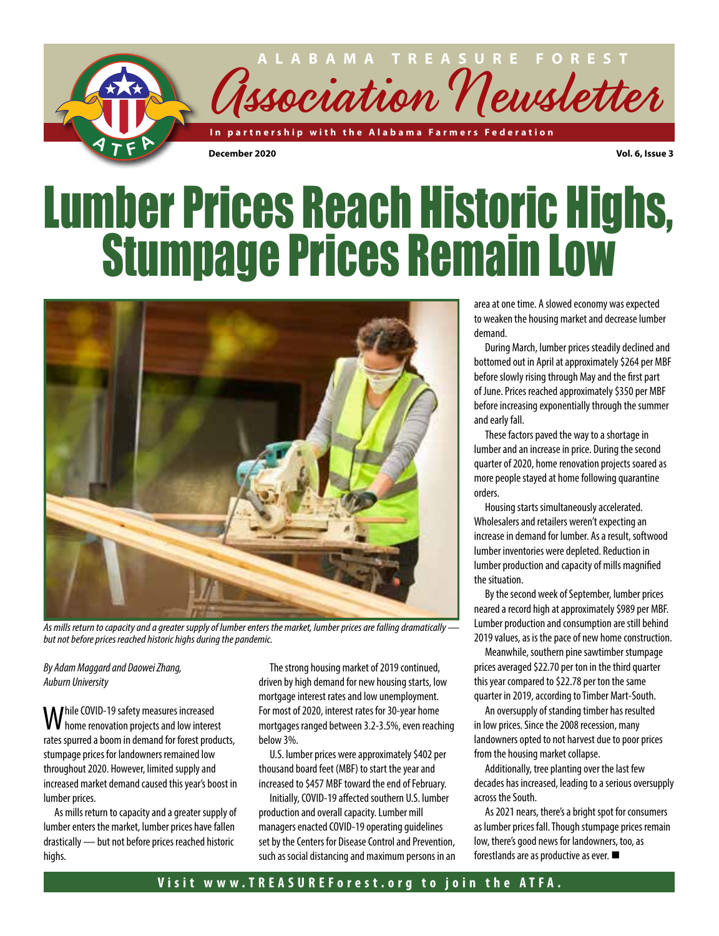

# Lumber Prices Reach Historic Highs, Stumpage Prices Remain Low



*As mills return to capacity and a greater supply of lumber enters the market, lumber prices are falling dramatically but not before prices reached historic highs during the pandemic.*

*By Adam Maggard and Daowei Zhang, Auburn University*

While COVID-19 safety measures increased home renovation projects and low interest rates spurred a boom in demand for forest products, stumpage prices for landowners remained low throughout 2020. However, limited supply and increased market demand caused this year's boost in lumber prices.

As mills return to capacity and a greater supply of lumber enters the market, lumber prices have fallen drastically — but not before prices reached historic highs.

The strong housing market of 2019 continued, driven by high demand for new housing starts, low mortgage interest rates and low unemployment. For most of 2020, interest rates for 30-year home mortgages ranged between 3.2-3.5%, even reaching below 3%.

U.S. lumber prices were approximately \$402 per thousand board feet (MBF) to start the year and increased to \$457 MBF toward the end of February.

Initially, COVID-19 affected southern U.S. lumber production and overall capacity. Lumber mill managers enacted COVID-19 operating guidelines set by the Centers for Disease Control and Prevention, such as social distancing and maximum persons in an area at one time. A slowed economy was expected to weaken the housing market and decrease lumber demand.

During March, lumber prices steadily declined and bottomed out in April at approximately \$264 per MBF before slowly rising through May and the first part of June. Prices reached approximately \$350 per MBF before increasing exponentially through the summer and early fall.

These factors paved the way to a shortage in lumber and an increase in price. During the second quarter of 2020, home renovation projects soared as more people stayed at home following quarantine orders.

Housing starts simultaneously accelerated. Wholesalers and retailers weren't expecting an increase in demand for lumber. As a result, softwood lumber inventories were depleted. Reduction in lumber production and capacity of mills magnified the situation.

By the second week of September, lumber prices neared a record high at approximately \$989 per MBF. Lumber production and consumption are still behind 2019 values, as is the pace of new home construction.

Meanwhile, southern pine sawtimber stumpage prices averaged \$22.70 per ton in the third quarter this year compared to \$22.78 per ton the same quarter in 2019, according to Timber Mart-South.

An oversupply of standing timber has resulted in low prices. Since the 2008 recession, many landowners opted to not harvest due to poor prices from the housing market collapse.

Additionally, tree planting over the last few decades has increased, leading to a serious oversupply across the South.

As 2021 nears, there's a bright spot for consumers as lumber prices fall. Though stumpage prices remain low, there's good news for landowners, too, as forestlands are as productive as ever.  $\blacksquare$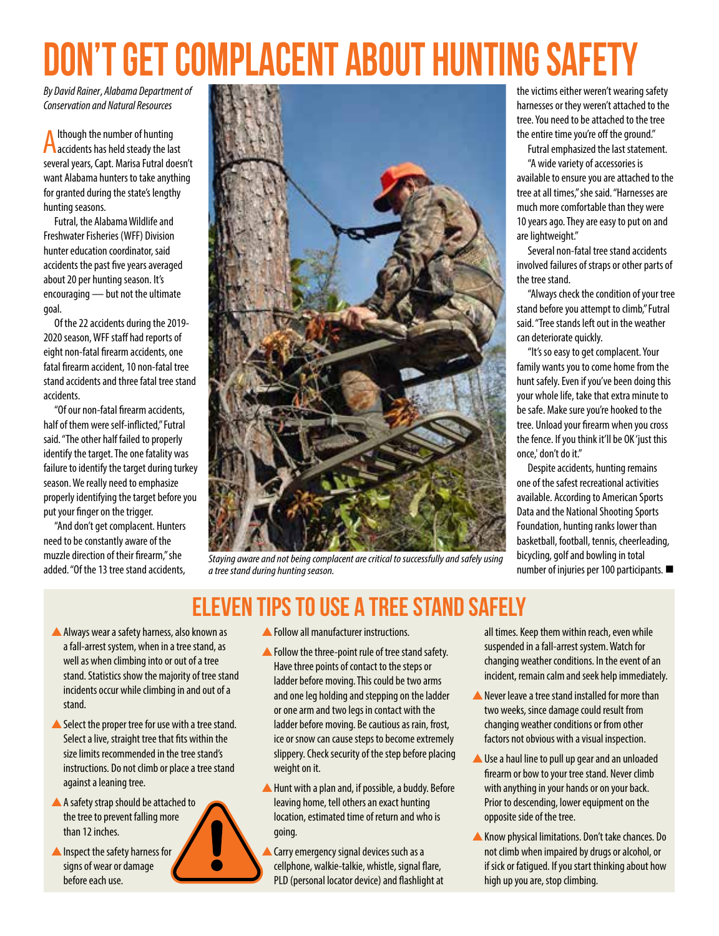# Don't Get Complacent About Hunting Safety

*By David Rainer*, *Alabama Department of Conservation and Natural Resources*

Although the number of hunting accidents has held steady the last several years, Capt. Marisa Futral doesn't want Alabama hunters to take anything for granted during the state's lengthy hunting seasons.

Futral, the Alabama Wildlife and Freshwater Fisheries (WFF) Division hunter education coordinator, said accidents the past five years averaged about 20 per hunting season. It's encouraging — but not the ultimate goal.

Of the 22 accidents during the 2019- 2020 season, WFF staff had reports of eight non-fatal firearm accidents, one fatal firearm accident, 10 non-fatal tree stand accidents and three fatal tree stand accidents.

"Of our non-fatal firearm accidents, half of them were self-inflicted," Futral said. "The other half failed to properly identify the target. The one fatality was failure to identify the target during turkey season. We really need to emphasize properly identifying the target before you put your finger on the trigger.

"And don't get complacent. Hunters need to be constantly aware of the muzzle direction of their firearm," she added. "Of the 13 tree stand accidents,



*Staying aware and not being complacent are critical to successfully and safely using a tree stand during hunting season.*

# Eleven TIPS TO USE a tree stand safely

- A Always wear a safety harness, also known as a fall-arrest system, when in a tree stand, as well as when climbing into or out of a tree stand. Statistics show the majority of tree stand incidents occur while climbing in and out of a stand.
- $\triangle$  Select the proper tree for use with a tree stand. Select a live, straight tree that fits within the size limits recommended in the tree stand's instructions. Do not climb or place a tree stand against a leaning tree.
- A A safety strap should be attached to the tree to prevent falling more than 12 inches.
- $\blacktriangle$  Inspect the safety harness for signs of wear or damage before each use.
- $\triangle$  Follow all manufacturer instructions.
- $\triangle$  Follow the three-point rule of tree stand safety. Have three points of contact to the steps or ladder before moving. This could be two arms and one leg holding and stepping on the ladder or one arm and two legs in contact with the ladder before moving. Be cautious as rain, frost, ice or snow can cause steps to become extremely slippery. Check security of the step before placing weight on it.
- $\blacktriangle$  Hunt with a plan and, if possible, a buddy. Before leaving home, tell others an exact hunting location, estimated time of return and who is going.
- Carry emergency signal devices such as a cellphone, walkie-talkie, whistle, signal flare, PLD (personal locator device) and flashlight at

the victims either weren't wearing safety harnesses or they weren't attached to the tree. You need to be attached to the tree the entire time you're off the ground."

Futral emphasized the last statement.

"A wide variety of accessories is available to ensure you are attached to the tree at all times," she said. "Harnesses are much more comfortable than they were 10 years ago. They are easy to put on and are lightweight."

Several non-fatal tree stand accidents involved failures of straps or other parts of the tree stand.

"Always check the condition of your tree stand before you attempt to climb," Futral said. "Tree stands left out in the weather can deteriorate quickly.

"It's so easy to get complacent. Your family wants you to come home from the hunt safely. Even if you've been doing this your whole life, take that extra minute to be safe. Make sure you're hooked to the tree. Unload your firearm when you cross the fence. If you think it'll be OK 'just this once,' don't do it."

Despite accidents, hunting remains one of the safest recreational activities available. According to American Sports Data and the National Shooting Sports Foundation, hunting ranks lower than basketball, football, tennis, cheerleading, bicycling, golf and bowling in total number of injuries per 100 participants.  $\blacksquare$ 

all times. Keep them within reach, even while suspended in a fall-arrest system. Watch for changing weather conditions. In the event of an incident, remain calm and seek help immediately.

- $\triangle$  Never leave a tree stand installed for more than two weeks, since damage could result from changing weather conditions or from other factors not obvious with a visual inspection.
- ▲ Use a haul line to pull up gear and an unloaded firearm or bow to your tree stand. Never climb with anything in your hands or on your back. Prior to descending, lower equipment on the opposite side of the tree.
- **A** Know physical limitations. Don't take chances. Do not climb when impaired by drugs or alcohol, or if sick or fatigued. If you start thinking about how high up you are, stop climbing.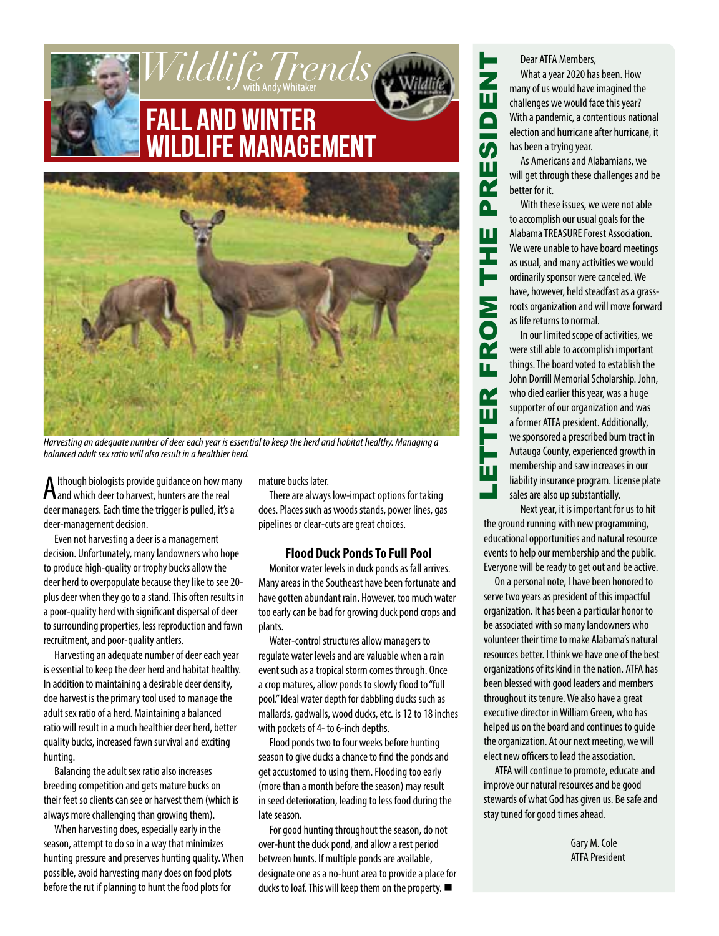



*Harvesting an adequate number of deer each year is essential to keep the herd and habitat healthy. Managing a balanced adult sex ratio will also result in a healthier herd.*

A lthough biologists provide guidance on how may had which deer to harvest, hunters are the real lthough biologists provide guidance on how many deer managers. Each time the trigger is pulled, it's a deer-management decision.

Even not harvesting a deer is a management decision. Unfortunately, many landowners who hope to produce high-quality or trophy bucks allow the deer herd to overpopulate because they like to see 20 plus deer when they go to a stand. This often results in a poor-quality herd with significant dispersal of deer to surrounding properties, less reproduction and fawn recruitment, and poor-quality antlers.

Harvesting an adequate number of deer each year is essential to keep the deer herd and habitat healthy. In addition to maintaining a desirable deer density, doe harvest is the primary tool used to manage the adult sex ratio of a herd. Maintaining a balanced ratio will result in a much healthier deer herd, better quality bucks, increased fawn survival and exciting hunting.

Balancing the adult sex ratio also increases breeding competition and gets mature bucks on their feet so clients can see or harvest them (which is always more challenging than growing them).

When harvesting does, especially early in the season, attempt to do so in a way that minimizes hunting pressure and preserves hunting quality. When possible, avoid harvesting many does on food plots before the rut if planning to hunt the food plots for

mature bucks later.

There are always low-impact options for taking does. Places such as woods stands, power lines, gas pipelines or clear-cuts are great choices.

#### **Flood Duck Ponds To Full Pool**

Monitor water levels in duck ponds as fall arrives. Many areas in the Southeast have been fortunate and have gotten abundant rain. However, too much water too early can be bad for growing duck pond crops and plants.

Water-control structures allow managers to regulate water levels and are valuable when a rain event such as a tropical storm comes through. Once a crop matures, allow ponds to slowly flood to "full pool." Ideal water depth for dabbling ducks such as mallards, gadwalls, wood ducks, etc. is 12 to 18 inches with pockets of 4- to 6-inch depths.

Flood ponds two to four weeks before hunting season to give ducks a chance to find the ponds and get accustomed to using them. Flooding too early (more than a month before the season) may result in seed deterioration, leading to less food during the late season.

For good hunting throughout the season, do not over-hunt the duck pond, and allow a rest period between hunts. If multiple ponds are available, designate one as a no-hunt area to provide a place for ducks to loaf. This will keep them on the property.  $\blacksquare$ 

Dear ATFA Members, What a year 2020 has been. How many of us would have imagined the challenges we would face this year? With a pandemic, a contentious national election and hurricane after hurricane, it has been a trying year.

As Americans and Alabamians, we will get through these challenges and be better for it.

With these issues, we were not able to accomplish our usual goals for the Alabama TREASURE Forest Association. We were unable to have board meetings as usual, and many activities we would ordinarily sponsor were canceled. We have, however, held steadfast as a grassroots organization and will move forward as life returns to normal.

LETTER FROM THE PRESIDENT

Σ

 $\overline{\mathbf{Q}}$ 

u,

œ Ш

Н İШ

Ш Ŧ

 $\mathbf \Xi$  $\blacksquare$ 

<u>()</u>

 $\overline{\mathbf{z}}$ Δ.

> In our limited scope of activities, we were still able to accomplish important things. The board voted to establish the John Dorrill Memorial Scholarship. John, who died earlier this year, was a huge supporter of our organization and was a former ATFA president. Additionally, we sponsored a prescribed burn tract in Autauga County, experienced growth in membership and saw increases in our liability insurance program. License plate sales are also up substantially.

Next year, it is important for us to hit the ground running with new programming, educational opportunities and natural resource events to help our membership and the public. Everyone will be ready to get out and be active.

On a personal note, I have been honored to serve two years as president of this impactful organization. It has been a particular honor to be associated with so many landowners who volunteer their time to make Alabama's natural resources better. I think we have one of the best organizations of its kind in the nation. ATFA has been blessed with good leaders and members throughout its tenure. We also have a great executive director in William Green, who has helped us on the board and continues to guide the organization. At our next meeting, we will elect new officers to lead the association.

ATFA will continue to promote, educate and improve our natural resources and be good stewards of what God has given us. Be safe and stay tuned for good times ahead.

> Gary M. Cole ATFA President